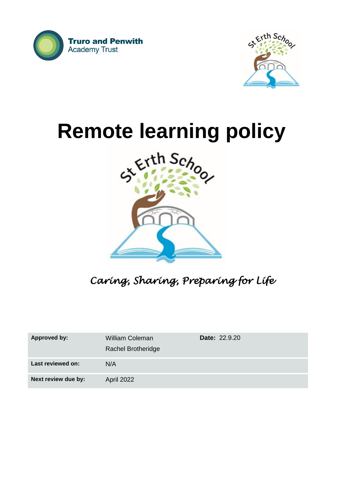



# **Remote learning policy**



*Caring, Sharing, Preparing for Life* 

| <b>Approved by:</b> | <b>William Coleman</b><br><b>Rachel Brotheridge</b> | <b>Date: 22.9.20</b> |
|---------------------|-----------------------------------------------------|----------------------|
| Last reviewed on:   | N/A                                                 |                      |
| Next review due by: | <b>April 2022</b>                                   |                      |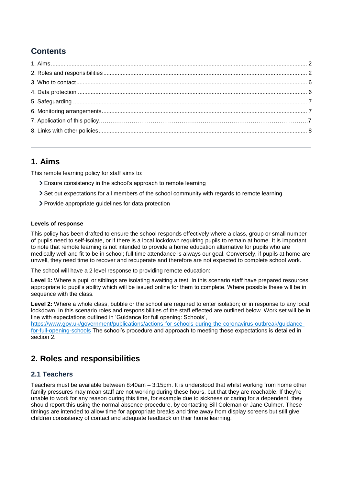# **Contents**

## <span id="page-1-0"></span>**1. Aims**

This remote learning policy for staff aims to:

- Ensure consistency in the school's approach to remote learning
- Set out expectations for all members of the school community with regards to remote learning
- > Provide appropriate guidelines for data protection

#### **Levels of response**

This policy has been drafted to ensure the school responds effectively where a class, group or small number of pupils need to self-isolate, or if there is a local lockdown requiring pupils to remain at home. It is important to note that remote learning is not intended to provide a home education alternative for pupils who are medically well and fit to be in school; full time attendance is always our goal. Conversely, if pupils at home are unwell, they need time to recover and recuperate and therefore are not expected to complete school work.

The school will have a 2 level response to providing remote education:

**Level 1:** Where a pupil or siblings are isolating awaiting a test. In this scenario staff have prepared resources appropriate to pupil's ability which will be issued online for them to complete. Where possible these will be in sequence with the class.

**Level 2:** Where a whole class, bubble or the school are required to enter isolation; or in response to any local lockdown. In this scenario roles and responsibilities of the staff effected are outlined below. Work set will be in line with expectations outlined in 'Guidance for full opening: Schools',

[https://www.gov.uk/government/publications/actions-for-schools-during-the-coronavirus-outbreak/guidance](https://www.gov.uk/government/publications/actions-for-schools-during-the-coronavirus-outbreak/guidance-for-full-opening-schools)[for-full-opening-schools](https://www.gov.uk/government/publications/actions-for-schools-during-the-coronavirus-outbreak/guidance-for-full-opening-schools) The school's procedure and approach to meeting these expectations is detailed in section 2.

# <span id="page-1-1"></span>**2. Roles and responsibilities**

## **2.1 Teachers**

Teachers must be available between 8:40am – 3:15pm. It is understood that whilst working from home other family pressures may mean staff are not working during these hours, but that they are reachable. If they're unable to work for any reason during this time, for example due to sickness or caring for a dependent, they should report this using the normal absence procedure, by contacting Bill Coleman or Jane Culmer. These timings are intended to allow time for appropriate breaks and time away from display screens but still give children consistency of contact and adequate feedback on their home learning.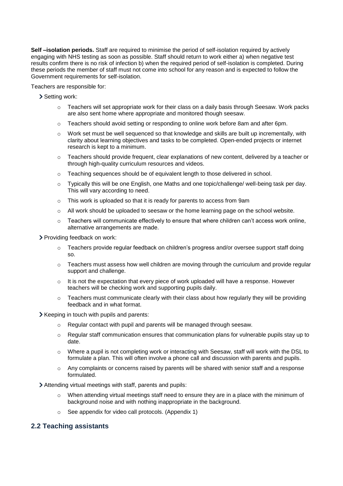**Self –isolation periods.** Staff are required to minimise the period of self-isolation required by actively engaging with NHS testing as soon as possible. Staff should return to work either a) when negative test results confirm there is no risk of infection b) when the required period of self-isolation is completed. During these periods the member of staff must not come into school for any reason and is expected to follow the Government requirements for self-isolation.

Teachers are responsible for:

- Setting work:
	- $\circ$  Teachers will set appropriate work for their class on a daily basis through Seesaw. Work packs are also sent home where appropriate and monitored though seesaw.
	- $\circ$  Teachers should avoid setting or responding to online work before 8am and after 6pm.
	- o Work set must be well sequenced so that knowledge and skills are built up incrementally, with clarity about learning objectives and tasks to be completed. Open-ended projects or internet research is kept to a minimum.
	- $\circ$  Teachers should provide frequent, clear explanations of new content, delivered by a teacher or through high-quality curriculum resources and videos.
	- o Teaching sequences should be of equivalent length to those delivered in school.
	- $\circ$  Typically this will be one English, one Maths and one topic/challenge/ well-being task per day. This will vary according to need.
	- o This work is uploaded so that it is ready for parents to access from 9am
	- o All work should be uploaded to seesaw or the home learning page on the school website.
	- $\circ$  Teachers will communicate effectively to ensure that where children can't access work online, alternative arrangements are made.

Providing feedback on work:

- $\circ$  Teachers provide regular feedback on children's progress and/or oversee support staff doing so.
- $\circ$  Teachers must assess how well children are moving through the curriculum and provide regular support and challenge.
- o It is not the expectation that every piece of work uploaded will have a response. However teachers will be checking work and supporting pupils daily.
- $\circ$  Teachers must communicate clearly with their class about how regularly they will be providing feedback and in what format.

 $\blacktriangleright$  Keeping in touch with pupils and parents:

- o Regular contact with pupil and parents will be managed through seesaw.
- o Regular staff communication ensures that communication plans for vulnerable pupils stay up to date.
- o Where a pupil is not completing work or interacting with Seesaw, staff will work with the DSL to formulate a plan. This will often involve a phone call and discussion with parents and pupils.
- $\circ$  Any complaints or concerns raised by parents will be shared with senior staff and a response formulated.

Attending virtual meetings with staff, parents and pupils:

- $\circ$  When attending virtual meetings staff need to ensure they are in a place with the minimum of background noise and with nothing inappropriate in the background.
- o See appendix for video call protocols. (Appendix 1)

#### **2.2 Teaching assistants**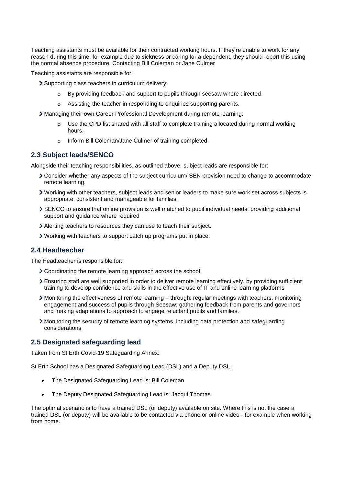Teaching assistants must be available for their contracted working hours. If they're unable to work for any reason during this time, for example due to sickness or caring for a dependent, they should report this using the normal absence procedure. Contacting Bill Coleman or Jane Culmer

Teaching assistants are responsible for:

Supporting class teachers in curriculum delivery:

- $\circ$  By providing feedback and support to pupils through seesaw where directed.
- o Assisting the teacher in responding to enquiries supporting parents.
- Managing their own Career Professional Development during remote learning:
	- $\circ$  Use the CPD list shared with all staff to complete training allocated during normal working hours.
	- o Inform Bill Coleman/Jane Culmer of training completed.

## **2.3 Subject leads/SENCO**

Alongside their teaching responsibilities, as outlined above, subject leads are responsible for:

- Consider whether any aspects of the subject curriculum/ SEN provision need to change to accommodate remote learning.
- Working with other teachers, subject leads and senior leaders to make sure work set across subjects is appropriate, consistent and manageable for families.
- SENCO to ensure that online provision is well matched to pupil individual needs, providing additional support and guidance where required
- Alerting teachers to resources they can use to teach their subject.
- Working with teachers to support catch up programs put in place.

## **2.4 Headteacher**

The Headteacher is responsible for:

- Coordinating the remote learning approach across the school.
- Ensuring staff are well supported in order to deliver remote learning effectively. by providing sufficient training to develop confidence and skills in the effective use of IT and online learning platforms
- Monitoring the effectiveness of remote learning through: regular meetings with teachers; monitoring engagement and success of pupils through Seesaw; gathering feedback from parents and governors and making adaptations to approach to engage reluctant pupils and families.
- Monitoring the security of remote learning systems, including data protection and safeguarding considerations

## **2.5 Designated safeguarding lead**

Taken from St Erth Covid-19 Safeguarding Annex:

St Erth School has a Designated Safeguarding Lead (DSL) and a Deputy DSL.

- The Designated Safeguarding Lead is: Bill Coleman
- The Deputy Designated Safeguarding Lead is: Jacqui Thomas

The optimal scenario is to have a trained DSL (or deputy) available on site. Where this is not the case a trained DSL (or deputy) will be available to be contacted via phone or online video - for example when working from home.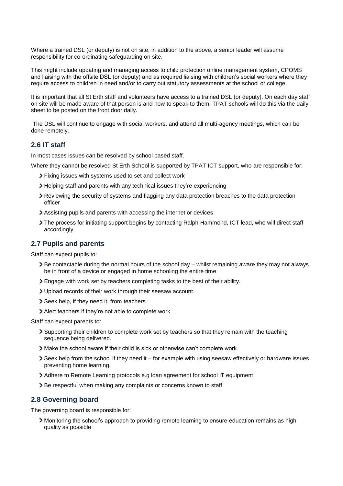Where a trained DSL (or deputy) is not on site, in addition to the above, a senior leader will assume responsibility for co-ordinating safeguarding on site.

This might include updating and managing access to child protection online management system, CPOMS and liaising with the offsite DSL (or deputy) and as required liaising with children's social workers where they require access to children in need and/or to carry out statutory assessments at the school or college.

It is important that all St Erth staff and volunteers have access to a trained DSL (or deputy). On each day staff on site will be made aware of that person is and how to speak to them. TPAT schools will do this via the daily sheet to be posted on the front door daily.

The DSL will continue to engage with social workers, and attend all multi-agency meetings, which can be done remotely.

## **2.6 IT staff**

In most cases issues can be resolved by school based staff.

Where they cannot be resolved St Erth School is supported by TPAT ICT support, who are responsible for:

- Fixing issues with systems used to set and collect work
- Helping staff and parents with any technical issues they're experiencing
- Reviewing the security of systems and flagging any data protection breaches to the data protection officer
- Assisting pupils and parents with accessing the internet or devices
- The process for initiating support begins by contacting Ralph Hammond, ICT lead, who will direct staff accordingly.

## **2.7 Pupils and parents**

Staff can expect pupils to:

- $\geq$  Be contactable during the normal hours of the school day whilst remaining aware they may not always be in front of a device or engaged in home schooling the entire time
- Engage with work set by teachers completing tasks to the best of their ability.
- Upload records of their work through their seesaw account.
- Seek help, if they need it, from teachers.
- Alert teachers if they're not able to complete work

Staff can expect parents to:

- Supporting their children to complete work set by teachers so that they remain with the teaching sequence being delivered.
- Make the school aware if their child is sick or otherwise can't complete work.
- $\geq$  Seek help from the school if they need it for example with using seesaw effectively or hardware issues preventing home learning.
- Adhere to Remote Learning protocols e.g loan agreement for school IT equipment
- > Be respectful when making any complaints or concerns known to staff

## **2.8 Governing board**

The governing board is responsible for:

Monitoring the school's approach to providing remote learning to ensure education remains as high quality as possible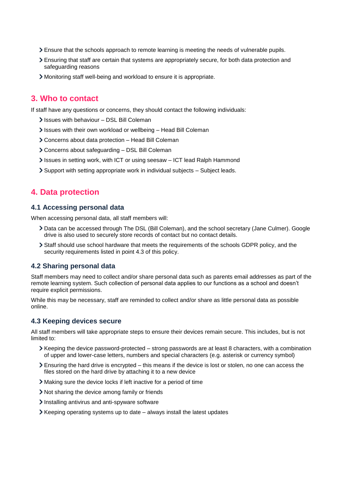- Ensure that the schools approach to remote learning is meeting the needs of vulnerable pupils.
- Ensuring that staff are certain that systems are appropriately secure, for both data protection and safeguarding reasons
- Monitoring staff well-being and workload to ensure it is appropriate.

## <span id="page-5-0"></span>**3. Who to contact**

If staff have any questions or concerns, they should contact the following individuals:

- Issues with behaviour DSL Bill Coleman
- Issues with their own workload or wellbeing Head Bill Coleman
- Concerns about data protection Head Bill Coleman
- Concerns about safeguarding DSL Bill Coleman
- Issues in setting work, with ICT or using seesaw ICT lead Ralph Hammond
- $\geq$  Support with setting appropriate work in individual subjects Subject leads.

## <span id="page-5-1"></span>**4. Data protection**

## **4.1 Accessing personal data**

When accessing personal data, all staff members will:

- Data can be accessed through The DSL (Bill Coleman), and the school secretary (Jane Culmer). Google drive is also used to securely store records of contact but no contact details.
- Staff should use school hardware that meets the requirements of the schools GDPR policy, and the security requirements listed in point 4.3 of this policy.

## **4.2 Sharing personal data**

Staff members may need to collect and/or share personal data such as parents email addresses as part of the remote learning system. Such collection of personal data applies to our functions as a school and doesn't require explicit permissions.

While this may be necessary, staff are reminded to collect and/or share as little personal data as possible online.

## **4.3 Keeping devices secure**

All staff members will take appropriate steps to ensure their devices remain secure. This includes, but is not limited to:

- $\geq$  Keeping the device password-protected strong passwords are at least 8 characters, with a combination of upper and lower-case letters, numbers and special characters (e.g. asterisk or currency symbol)
- $\ge$  Ensuring the hard drive is encrypted this means if the device is lost or stolen, no one can access the files stored on the hard drive by attaching it to a new device
- Making sure the device locks if left inactive for a period of time
- Not sharing the device among family or friends
- Installing antivirus and anti-spyware software
- Keeping operating systems up to date always install the latest updates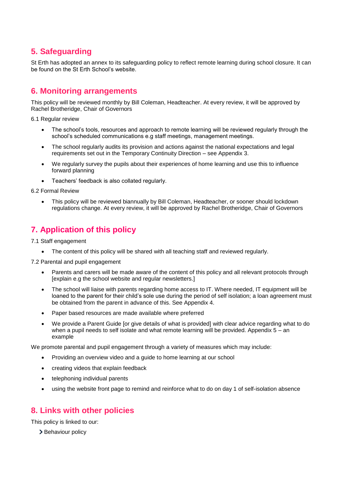# <span id="page-6-0"></span>**5. Safeguarding**

St Erth has adopted an annex to its safeguarding policy to reflect remote learning during school closure. It can be found on the St Erth School's website.

## <span id="page-6-1"></span>**6. Monitoring arrangements**

This policy will be reviewed monthly by Bill Coleman, Headteacher. At every review, it will be approved by Rachel Brotheridge, Chair of Governors

6.1 Regular review

- The school's tools, resources and approach to remote learning will be reviewed regularly through the school's scheduled communications e.g staff meetings, management meetings.
- The school regularly audits its provision and actions against the national expectations and legal requirements set out in the Temporary Continuity Direction – see Appendix 3.
- We regularly survey the pupils about their experiences of home learning and use this to influence forward planning
- Teachers' feedback is also collated regularly.

6.2 Formal Review

 This policy will be reviewed biannually by Bill Coleman, Headteacher, or sooner should lockdown regulations change. At every review, it will be approved by Rachel Brotheridge, Chair of Governors

# **7. Application of this policy**

7.1 Staff engagement

• The content of this policy will be shared with all teaching staff and reviewed regularly.

7.2 Parental and pupil engagement

- Parents and carers will be made aware of the content of this policy and all relevant protocols through [explain e.g the school website and regular newsletters.]
- The school will liaise with parents regarding home access to IT. Where needed, IT equipment will be loaned to the parent for their child's sole use during the period of self isolation; a loan agreement must be obtained from the parent in advance of this. See Appendix 4.
- Paper based resources are made available where preferred
- We provide a Parent Guide [or give details of what is provided] with clear advice regarding what to do when a pupil needs to self isolate and what remote learning will be provided. Appendix 5 – an example

We promote parental and pupil engagement through a variety of measures which may include:

- Providing an overview video and a guide to home learning at our school
- creating videos that explain feedback
- telephoning individual parents
- using the website front page to remind and reinforce what to do on day 1 of self-isolation absence

## <span id="page-6-2"></span>**8. Links with other policies**

This policy is linked to our:

> Behaviour policy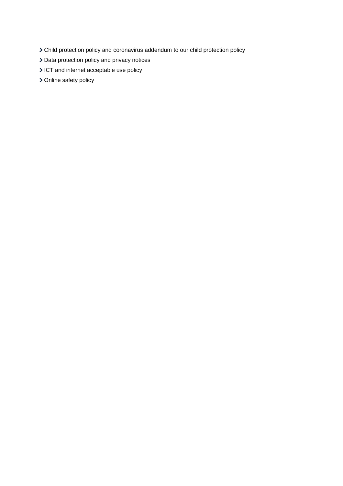- Child protection policy and coronavirus addendum to our child protection policy
- > Data protection policy and privacy notices
- ICT and internet acceptable use policy
- > Online safety policy